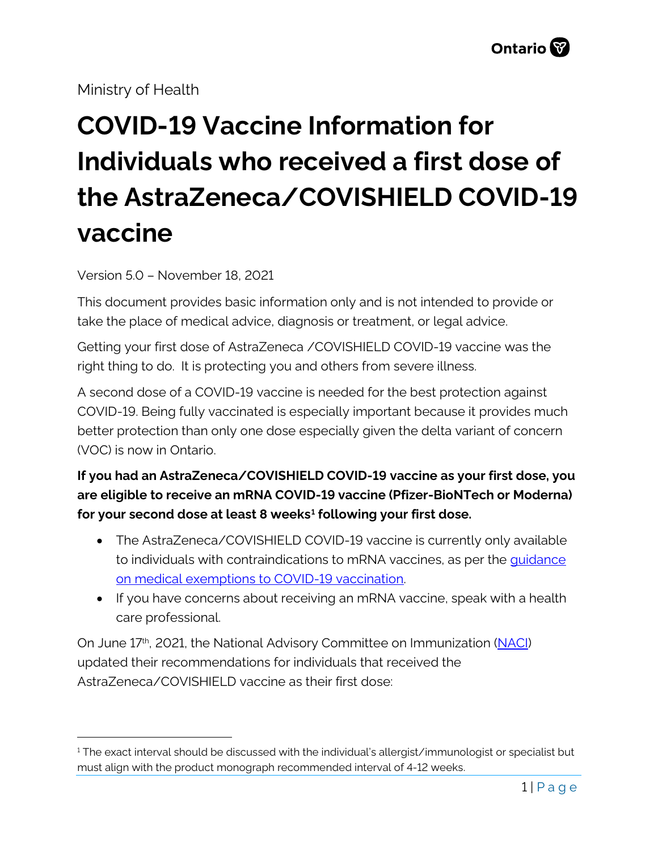Ministry of Health

## **COVID-19 Vaccine Information for Individuals who received a first dose of the AstraZeneca/COVISHIELD COVID-19 vaccine**

Version 5.0 – November 18, 2021

This document provides basic information only and is not intended to provide or take the place of medical advice, diagnosis or treatment, or legal advice.

Getting your first dose of AstraZeneca /COVISHIELD COVID-19 vaccine was the right thing to do. It is protecting you and others from severe illness.

A second dose of a COVID-19 vaccine is needed for the best protection against COVID-19. Being fully vaccinated is especially important because it provides much better protection than only one dose especially given the delta variant of concern (VOC) is now in Ontario.

**If you had an AstraZeneca/COVISHIELD COVID-19 vaccine as your first dose, you are eligible to receive an mRNA COVID-19 vaccine (Pfizer-BioNTech or Moderna) for your second dose at least 8 weeks[1](#page-0-0) following your first dose.** 

- The AstraZeneca/COVISHIELD COVID-19 vaccine is currently only available to individuals with contraindications to mRNA vaccines, as per the *quidance* [on medical exemptions to COVID-19 vaccination.](https://health.gov.on.ca/en/pro/programs/publichealth/coronavirus/docs/vaccine/medical_exemptions_to_vaccination.pdf)
- If you have concerns about receiving an mRNA vaccine, speak with a health care professional.

On June 17<sup>th</sup>, 2021, the National Advisory Committee on Immunization [\(NACI\)](https://www.canada.ca/en/public-health/services/immunization/national-advisory-committee-on-immunization-naci/recommendations-use-covid-19-vaccines/june-17-2021.html) updated their recommendations for individuals that received the AstraZeneca/COVISHIELD vaccine as their first dose:

<span id="page-0-0"></span> $1$  The exact interval should be discussed with the individual's allergist/immunologist or specialist but must align with the product monograph recommended interval of 4-12 weeks.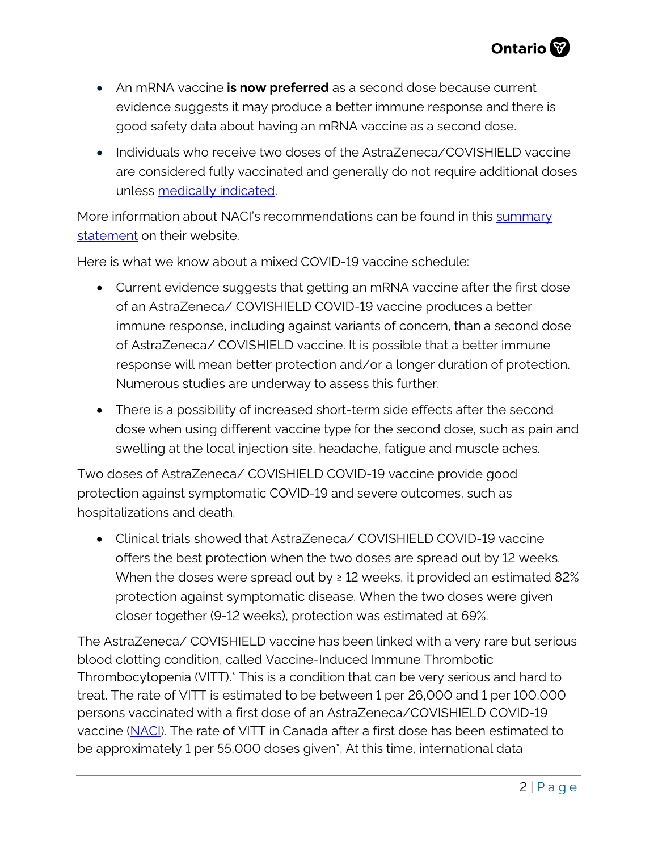

- An mRNA vaccine **is now preferred** as a second dose because current evidence suggests it may produce a better immune response and there is good safety data about having an mRNA vaccine as a second dose.
- Individuals who receive two doses of the AstraZeneca/COVISHIELD vaccine are considered fully vaccinated and generally do not require additional doses unless [medically indicated.](https://www.health.gov.on.ca/en/pro/programs/publichealth/coronavirus/docs/vaccine/COVID-19_vaccine_third_dose_recommendations.pdf)

More information about NACI's recommendations can be found in this summary [statement](https://www.canada.ca/en/public-health/services/immunization/national-advisory-committee-on-immunization-naci/recommendations-use-covid-19-vaccines/summary-statement-june-17-2021.html) on their website.

Here is what we know about a mixed COVID-19 vaccine schedule:

- Current evidence suggests that getting an mRNA vaccine after the first dose of an AstraZeneca/ COVISHIELD COVID-19 vaccine produces a better immune response, including against variants of concern, than a second dose of AstraZeneca/ COVISHIELD vaccine. It is possible that a better immune response will mean better protection and/or a longer duration of protection. Numerous studies are underway to assess this further.
- There is a possibility of increased short-term side effects after the second dose when using different vaccine type for the second dose, such as pain and swelling at the local injection site, headache, fatigue and muscle aches.

Two doses of AstraZeneca/ COVISHIELD COVID-19 vaccine provide good protection against symptomatic COVID-19 and severe outcomes, such as hospitalizations and death.

• Clinical trials showed that AstraZeneca/ COVISHIELD COVID-19 vaccine offers the best protection when the two doses are spread out by 12 weeks. When the doses were spread out by  $\geq 12$  weeks, it provided an estimated 82% protection against symptomatic disease. When the two doses were given closer together (9-12 weeks), protection was estimated at 69%.

The AstraZeneca/ COVISHIELD vaccine has been linked with a very rare but serious blood clotting condition, called Vaccine-Induced Immune Thrombotic Thrombocytopenia (VITT).\* This is a condition that can be very serious and hard to treat. The rate of VITT is estimated to be between 1 per 26,000 and 1 per 100,000 persons vaccinated with a first dose of an AstraZeneca/COVISHIELD COVID-19 vaccine [\(NACI\)](https://www.canada.ca/content/dam/phac-aspc/documents/services/immunization/national-advisory-committee-on-immunization-naci/recommendations-use-covid-19-vaccines/recommendations-use-covid-19-vaccines-en.pdf). The rate of VITT in Canada after a first dose has been estimated to be approximately 1 per 55,000 doses given\*. At this time, international data